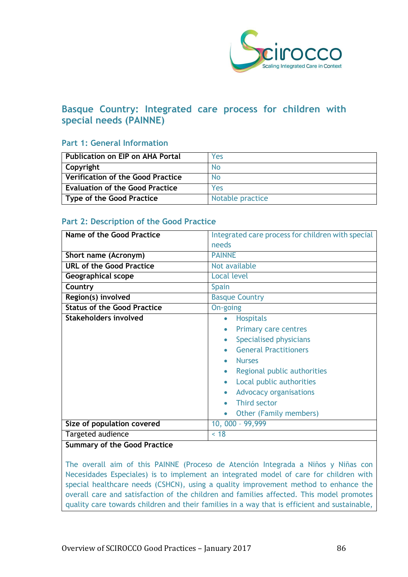

# **Basque Country: Integrated care process for children with special needs (PAINNE)**

## **Part 1: General Information**

| <b>Publication on EIP on AHA Portal</b>  | Yes              |
|------------------------------------------|------------------|
| Copyright                                | No.              |
| <b>Verification of the Good Practice</b> | <b>No</b>        |
| <b>Evaluation of the Good Practice</b>   | Yes              |
| <b>Type of the Good Practice</b>         | Notable practice |

# **Part 2: Description of the Good Practice**

| Name of the Good Practice          | Integrated care process for children with special<br>needs                                                                                                                                                                                                                                 |
|------------------------------------|--------------------------------------------------------------------------------------------------------------------------------------------------------------------------------------------------------------------------------------------------------------------------------------------|
| Short name (Acronym)               | <b>PAINNE</b>                                                                                                                                                                                                                                                                              |
| <b>URL of the Good Practice</b>    | Not available                                                                                                                                                                                                                                                                              |
| <b>Geographical scope</b>          | <b>Local level</b>                                                                                                                                                                                                                                                                         |
| Country                            | <b>Spain</b>                                                                                                                                                                                                                                                                               |
| Region(s) involved                 | <b>Basque Country</b>                                                                                                                                                                                                                                                                      |
| <b>Status of the Good Practice</b> | On-going                                                                                                                                                                                                                                                                                   |
| <b>Stakeholders involved</b>       | <b>Hospitals</b><br>$\bullet$<br>Primary care centres<br>Specialised physicians<br><b>General Practitioners</b><br><b>Nurses</b><br>Regional public authorities<br>$\bullet$<br>Local public authorities<br><b>Advocacy organisations</b><br><b>Third sector</b><br>Other (Family members) |
| Size of population covered         | 10, 000 - 99,999                                                                                                                                                                                                                                                                           |
| Targeted audience                  | < 18                                                                                                                                                                                                                                                                                       |

#### **Summary of the Good Practice**

The overall aim of this PAINNE (Proceso de Atención Integrada a Niños y Niñas con Necesidades Especiales) is to implement an integrated model of care for children with special healthcare needs (CSHCN), using a quality improvement method to enhance the overall care and satisfaction of the children and families affected. This model promotes quality care towards children and their families in a way that is efficient and sustainable,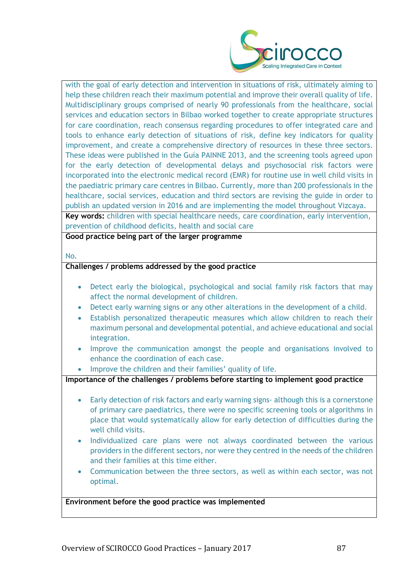

with the goal of early detection and intervention in situations of risk, ultimately aiming to help these children reach their maximum potential and improve their overall quality of life. Multidisciplinary groups comprised of nearly 90 professionals from the healthcare, social services and education sectors in Bilbao worked together to create appropriate structures for care coordination, reach consensus regarding procedures to offer integrated care and tools to enhance early detection of situations of risk, define key indicators for quality improvement, and create a comprehensive directory of resources in these three sectors. These ideas were published in the Guía PAINNE 2013, and the screening tools agreed upon for the early detection of developmental delays and psychosocial risk factors were incorporated into the electronic medical record (EMR) for routine use in well child visits in the paediatric primary care centres in Bilbao. Currently, more than 200 professionals in the healthcare, social services, education and third sectors are revising the guide in order to publish an updated version in 2016 and are implementing the model throughout Vizcaya.

**Key words:** children with special healthcare needs, care coordination, early intervention, prevention of childhood deficits, health and social care

**Good practice being part of the larger programme**

No.

#### **Challenges / problems addressed by the good practice**

- Detect early the biological, psychological and social family risk factors that may affect the normal development of children.
- Detect early warning signs or any other alterations in the development of a child.
- Establish personalized therapeutic measures which allow children to reach their maximum personal and developmental potential, and achieve educational and social integration.
- Improve the communication amongst the people and organisations involved to enhance the coordination of each case.
- Improve the children and their families' quality of life.

**Importance of the challenges / problems before starting to implement good practice**

- Early detection of risk factors and early warning signs-although this is a cornerstone of primary care paediatrics, there were no specific screening tools or algorithms in place that would systematically allow for early detection of difficulties during the well child visits.
- Individualized care plans were not always coordinated between the various providers in the different sectors, nor were they centred in the needs of the children and their families at this time either.
- Communication between the three sectors, as well as within each sector, was not optimal.

**Environment before the good practice was implemented**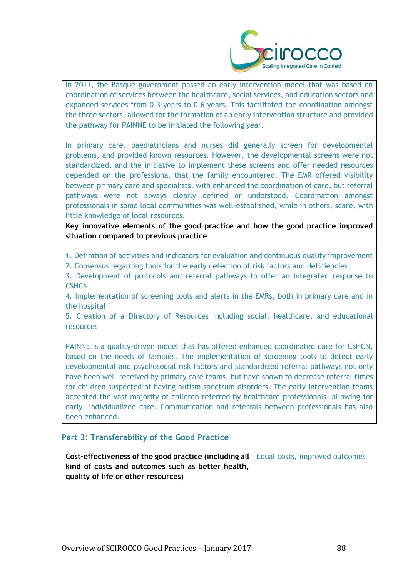

In 2011, the Basque government passed an early intervention model that was based on coordination of services between the healthcare, social services, and education sectors and expanded services from 0-3 years to 0-6 years. This facilitated the coordination amongst the three sectors, allowed for the formation of an early intervention structure and provided the pathway for PAINNE to be initiated the following year.

In primary care, paediatricians and nurses did generally screen for developmental problems, and provided known resources. However, the developmental screens were not standardized, and the initiative to implement these screens and offer needed resources depended on the professional that the family encountered. The EMR offered visibility between primary care and specialists, with enhanced the coordination of care, but referral pathways were not always clearly defined or understood. Coordination amongst professionals in some local communities was well-established, while in others, scare, with little knowledge of local resources.

**Key innovative elements of the good practice and how the good practice improved situation compared to previous practice**

1. Definition of activities and indicators for evaluation and continuous quality improvement

2. Consensus regarding tools for the early detection of risk factors and deficiencies

3. Development of protocols and referral pathways to offer an integrated response to **CSHCN** 

4. Implementation of screening tools and alerts in the EMRs, both in primary care and in the hospital

5. Creation of a Directory of Resources including social, healthcare, and educational resources

PAINNE is a quality-driven model that has offered enhanced coordinated care for CSHCN, based on the needs of families. The implementation of screening tools to detect early developmental and psychosocial risk factors and standardized referral pathways not only have been well-received by primary care teams, but have shown to decrease referral times for children suspected of having autism spectrum disorders. The early intervention teams accepted the vast majority of children referred by healthcare professionals, allowing for early, individualized care. Communication and referrals between professionals has also been enhanced.

### **Part 3: Transferability of the Good Practice**

| Cost-effectiveness of the good practice (including all   Equal costs, improved outcomes |  |
|-----------------------------------------------------------------------------------------|--|
| kind of costs and outcomes such as better health,                                       |  |
| quality of life or other resources)                                                     |  |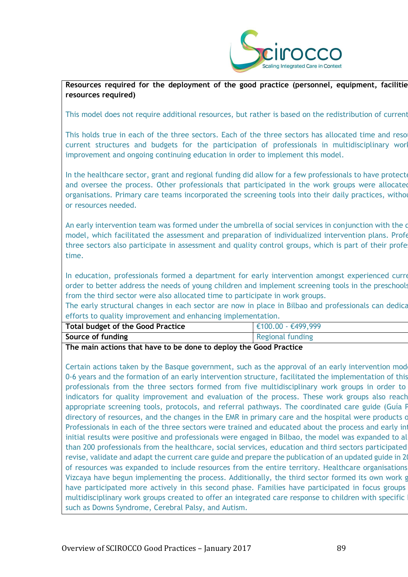

Resources required for the deployment of the good practice (personnel, equipment, facilitie **resources required)**

This model does not require additional resources, but rather is based on the redistribution of current

This holds true in each of the three sectors. Each of the three sectors has allocated time and reso current structures and budgets for the participation of professionals in multidisciplinary work improvement and ongoing continuing education in order to implement this model.

In the healthcare sector, grant and regional funding did allow for a few professionals to have protected time to and oversee the process. Other professionals that participated in the work groups were allocated organisations. Primary care teams incorporated the screening tools into their daily practices, withou or resources needed.

An early intervention team was formed under the umbrella of social services in conjunction with the d model, which facilitated the assessment and preparation of individualized intervention plans. Profe three sectors also participate in assessment and quality control groups, which is part of their profe time.

In education, professionals formed a department for early intervention amongst experienced current employees, in order to better address the needs of young children and implement screening tools in the preschools. from the third sector were also allocated time to participate in work groups.

The early structural changes in each sector are now in place in Bilbao and professionals can dedicate their time and efforts to quality improvement and enhancing implementation.

| Total budget of the Good Practice<br>$\in 100.00 - \text{\textsterling}499,999$ |  |
|---------------------------------------------------------------------------------|--|
|                                                                                 |  |
| Source of funding<br><b>Regional funding</b>                                    |  |

**The main actions that have to be done to deploy the Good Practice**

Certain actions taken by the Basque government, such as the approval of an early intervention mod 0-6 years and the formation of an early intervention structure, facilitated the implementation of this professionals from the three sectors formed from five multidisciplinary work groups in order to indicators for quality improvement and evaluation of the process. These work groups also reach appropriate screening tools, protocols, and referral pathways. The coordinated care guide (Guía F directory of resources, and the changes in the EMR in primary care and the hospital were products of Professionals in each of the three sectors were trained and educated about the process and early intervention. initial results were positive and professionals were engaged in Bilbao, the model was expanded to all than 200 professionals from the healthcare, social services, education and third sectors participated revise, validate and adapt the current care guide and prepare the publication of an updated guide in 20 of resources was expanded to include resources from the entire territory. Healthcare organisations Vizcaya have begun implementing the process. Additionally, the third sector formed its own work group have participated more actively in this second phase. Families have participated in focus groups multidisciplinary work groups created to offer an integrated care response to children with specific such as Downs Syndrome, Cerebral Palsy, and Autism.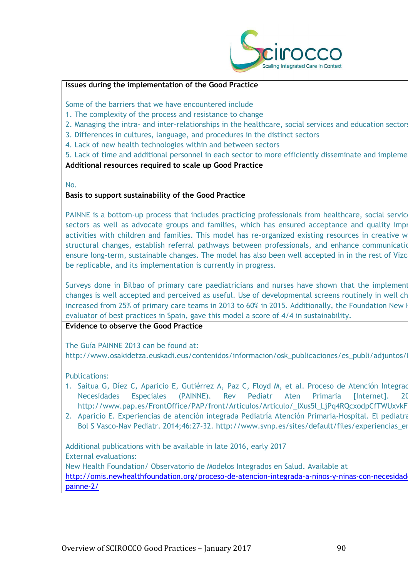

#### **Issues during the implementation of the Good Practice**

Some of the barriers that we have encountered include

- 1. The complexity of the process and resistance to change
- 2. Managing the intra- and inter-relationships in the healthcare, social services and education sectors
- 3. Differences in cultures, language, and procedures in the distinct sectors
- 4. Lack of new health technologies within and between sectors

5. Lack of time and additional personnel in each sector to more efficiently disseminate and impleme

#### **Additional resources required to scale up Good Practice**

No.

## **Basis to support sustainability of the Good Practice**

PAINNE is a bottom-up process that includes practicing professionals from healthcare, social service sectors as well as advocate groups and families, which has ensured acceptance and quality impi activities with children and families. This model has re-organized existing resources in creative w structural changes, establish referral pathways between professionals, and enhance communication, ensure long-term, sustainable changes. The model has also been well accepted in in the rest of Vizc be replicable, and its implementation is currently in progress.

Surveys done in Bilbao of primary care paediatricians and nurses have shown that the implement changes is well accepted and perceived as useful. Use of developmental screens routinely in well ch increased from 25% of primary care teams in 2013 to 60% in 2015. Additionally, the Foundation New H evaluator of best practices in Spain, gave this model a score of 4/4 in sustainability.

### **Evidence to observe the Good Practice**

The Guía PAINNE 2013 can be found at: http://www.osakidetza.euskadi.eus/contenidos/informacion/osk\_publicaciones/es\_publi/adjuntos/

Publications:

- 1. Saitua G, Díez C, Aparicio E, Gutiérrez A, Paz C, Floyd M, et al. Proceso de Atención Integrad Necesidades Especiales (PAINNE). Rev Pediatr Aten Primaria [Internet]. 2015;17:e251-e260. http://www.pap.es/FrontOffice/PAP/front/Articulos/Articulo/\_IXus5l\_LjPq4RQcxodpCfTWUxvkF
- 2. Aparicio E. Experiencias de atención integrada Pediatría Atención Primaria-Hospital. El pediatra Bol S Vasco-Nav Pediatr. 2014;46:27-32. http://www.svnp.es/sites/default/files/experiencias\_en

Additional publications with be available in late 2016, early 2017 External evaluations: New Health Foundation/ Observatorio de Modelos Integrados en Salud. Available at http://omis.newhealthfoundation.org/proceso-de-atencion-integrada-a-ninos-y-ninas-con-necesidad [painne-2/](http://omis.newhealthfoundation.org/proceso-de-atencion-integrada-a-ninos-y-ninas-con-necesidades-especiales-%20painne-2/)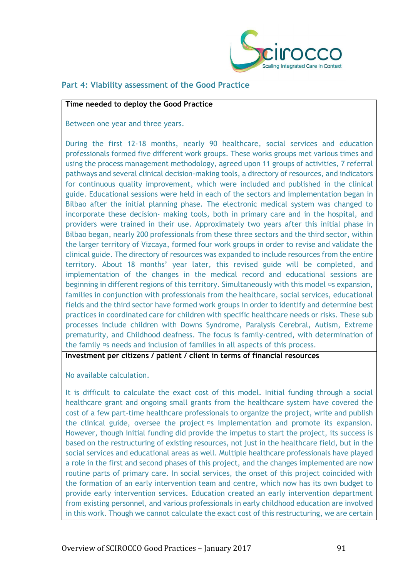

## **Part 4: Viability assessment of the Good Practice**

#### **Time needed to deploy the Good Practice**

Between one year and three years.

During the first 12-18 months, nearly 90 healthcare, social services and education professionals formed five different work groups. These works groups met various times and using the process management methodology, agreed upon 11 groups of activities, 7 referral pathways and several clinical decision-making tools, a directory of resources, and indicators for continuous quality improvement, which were included and published in the clinical guide. Educational sessions were held in each of the sectors and implementation began in Bilbao after the initial planning phase. The electronic medical system was changed to incorporate these decision- making tools, both in primary care and in the hospital, and providers were trained in their use. Approximately two years after this initial phase in Bilbao began, nearly 200 professionals from these three sectors and the third sector, within the larger territory of Vizcaya, formed four work groups in order to revise and validate the clinical guide. The directory of resources was expanded to include resources from the entire territory. About 18 months' year later, this revised guide will be completed, and implementation of the changes in the medical record and educational sessions are beginning in different regions of this territory. Simultaneously with this model **Is expansion**, families in conjunction with professionals from the healthcare, social services, educational fields and the third sector have formed work groups in order to identify and determine best practices in coordinated care for children with specific healthcare needs or risks. These sub processes include children with Downs Syndrome, Paralysis Cerebral, Autism, Extreme prematurity, and Childhood deafness. The focus is family-centred, with determination of the family  $\Xi$ s needs and inclusion of families in all aspects of this process.

**Investment per citizens / patient / client in terms of financial resources**

No available calculation.

It is difficult to calculate the exact cost of this model. Initial funding through a social healthcare grant and ongoing small grants from the healthcare system have covered the cost of a few part-time healthcare professionals to organize the project, write and publish the clinical guide, oversee the project  $\Xi$ s implementation and promote its expansion. However, though initial funding did provide the impetus to start the project, its success is based on the restructuring of existing resources, not just in the healthcare field, but in the social services and educational areas as well. Multiple healthcare professionals have played a role in the first and second phases of this project, and the changes implemented are now routine parts of primary care. In social services, the onset of this project coincided with the formation of an early intervention team and centre, which now has its own budget to provide early intervention services. Education created an early intervention department from existing personnel, and various professionals in early childhood education are involved in this work. Though we cannot calculate the exact cost of this restructuring, we are certain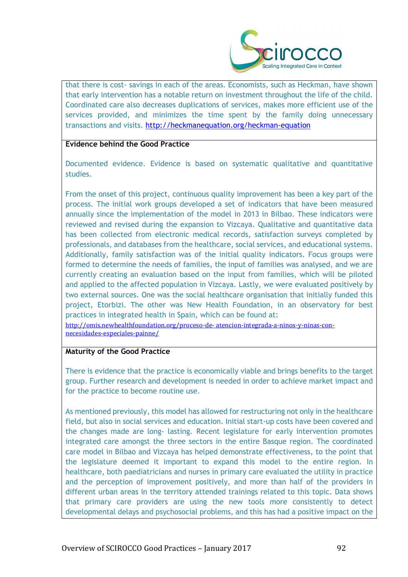

that there is cost- savings in each of the areas. Economists, such as Heckman, have shown that early intervention has a notable return on investment throughout the life of the child. Coordinated care also decreases duplications of services, makes more efficient use of the services provided, and minimizes the time spent by the family doing unnecessary transactions and visits.<http://heckmanequation.org/heckman-equation>

#### **Evidence behind the Good Practice**

Documented evidence. Evidence is based on systematic qualitative and quantitative studies.

From the onset of this project, continuous quality improvement has been a key part of the process. The initial work groups developed a set of indicators that have been measured annually since the implementation of the model in 2013 in Bilbao. These indicators were reviewed and revised during the expansion to Vizcaya. Qualitative and quantitative data has been collected from electronic medical records, satisfaction surveys completed by professionals, and databases from the healthcare, social services, and educational systems. Additionally, family satisfaction was of the initial quality indicators. Focus groups were formed to determine the needs of families, the input of families was analysed, and we are currently creating an evaluation based on the input from families, which will be piloted and applied to the affected population in Vizcaya. Lastly, we were evaluated positively by two external sources. One was the social healthcare organisation that initially funded this project, Etorbizi. The other was New Health Foundation, in an observatory for best practices in integrated health in Spain, which can be found at:

[http://omis.newhealthfoundation.org/proceso-de-](http://omis.newhealthfoundation.org/proceso-de-%20atencion-integrada-a-ninos-y-ninas-con-%20necesidades-especiales-painne/) atencion-integrada-a-ninos-y-ninas-con[necesidades-especiales-painne/](http://omis.newhealthfoundation.org/proceso-de-%20atencion-integrada-a-ninos-y-ninas-con-%20necesidades-especiales-painne/)

#### **Maturity of the Good Practice**

There is evidence that the practice is economically viable and brings benefits to the target group. Further research and development is needed in order to achieve market impact and for the practice to become routine use.

As mentioned previously, this model has allowed for restructuring not only in the healthcare field, but also in social services and education. Initial start-up costs have been covered and the changes made are long- lasting. Recent legislature for early intervention promotes integrated care amongst the three sectors in the entire Basque region. The coordinated care model in Bilbao and Vizcaya has helped demonstrate effectiveness, to the point that the legislature deemed it important to expand this model to the entire region. In healthcare, both paediatricians and nurses in primary care evaluated the utility in practice and the perception of improvement positively, and more than half of the providers in different urban areas in the territory attended trainings related to this topic. Data shows that primary care providers are using the new tools more consistently to detect developmental delays and psychosocial problems, and this has had a positive impact on the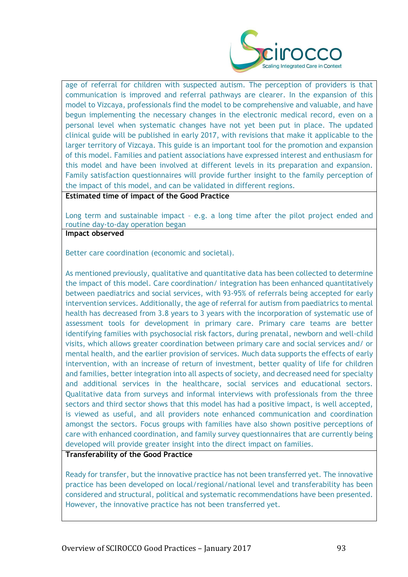

age of referral for children with suspected autism. The perception of providers is that communication is improved and referral pathways are clearer. In the expansion of this model to Vizcaya, professionals find the model to be comprehensive and valuable, and have begun implementing the necessary changes in the electronic medical record, even on a personal level when systematic changes have not yet been put in place. The updated clinical guide will be published in early 2017, with revisions that make it applicable to the larger territory of Vizcaya. This guide is an important tool for the promotion and expansion of this model. Families and patient associations have expressed interest and enthusiasm for this model and have been involved at different levels in its preparation and expansion. Family satisfaction questionnaires will provide further insight to the family perception of the impact of this model, and can be validated in different regions.

**Estimated time of impact of the Good Practice**

Long term and sustainable impact – e.g. a long time after the pilot project ended and routine day-to-day operation began

**Impact observed**

Better care coordination (economic and societal).

As mentioned previously, qualitative and quantitative data has been collected to determine the impact of this model. Care coordination/ integration has been enhanced quantitatively between paediatrics and social services, with 93-95% of referrals being accepted for early intervention services. Additionally, the age of referral for autism from paediatrics to mental health has decreased from 3.8 years to 3 years with the incorporation of systematic use of assessment tools for development in primary care. Primary care teams are better identifying families with psychosocial risk factors, during prenatal, newborn and well-child visits, which allows greater coordination between primary care and social services and/ or mental health, and the earlier provision of services. Much data supports the effects of early intervention, with an increase of return of investment, better quality of life for children and families, better integration into all aspects of society, and decreased need for specialty and additional services in the healthcare, social services and educational sectors. Qualitative data from surveys and informal interviews with professionals from the three sectors and third sector shows that this model has had a positive impact, is well accepted, is viewed as useful, and all providers note enhanced communication and coordination amongst the sectors. Focus groups with families have also shown positive perceptions of care with enhanced coordination, and family survey questionnaires that are currently being developed will provide greater insight into the direct impact on families.

**Transferability of the Good Practice**

Ready for transfer, but the innovative practice has not been transferred yet. The innovative practice has been developed on local/regional/national level and transferability has been considered and structural, political and systematic recommendations have been presented. However, the innovative practice has not been transferred yet.